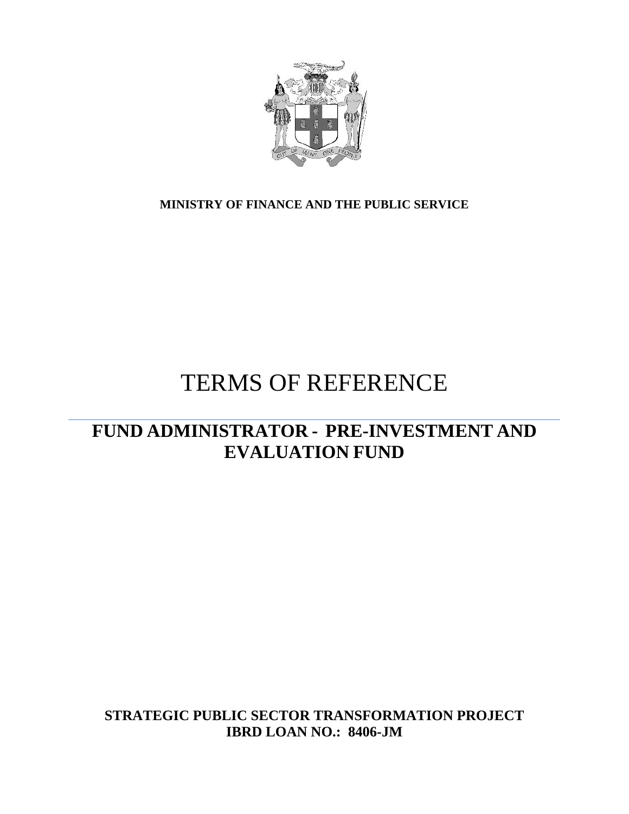

**MINISTRY OF FINANCE AND THE PUBLIC SERVICE**

# TERMS OF REFERENCE

# **FUND ADMINISTRATOR - PRE-INVESTMENT AND EVALUATION FUND**

**STRATEGIC PUBLIC SECTOR TRANSFORMATION PROJECT IBRD LOAN NO.: 8406-JM**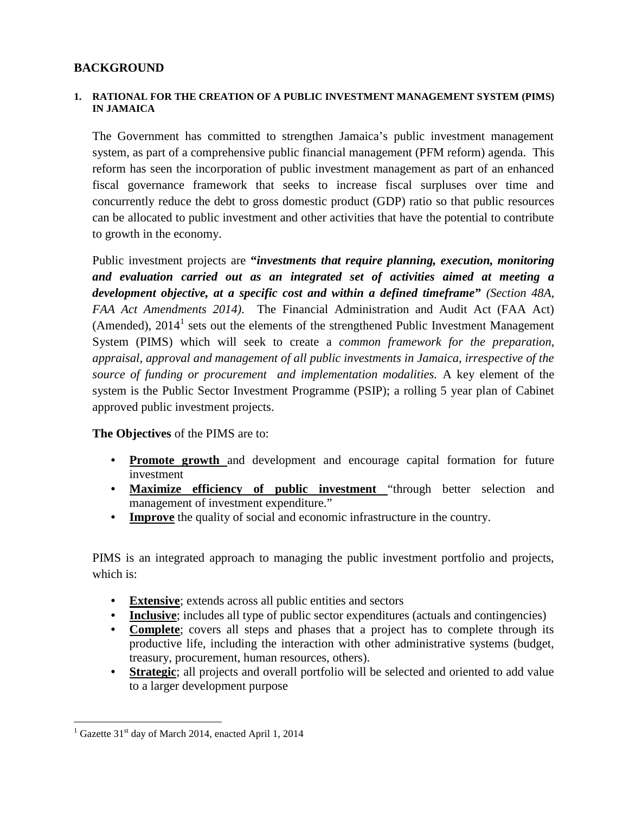# **BACKGROUND**

#### **1. RATIONAL FOR THE CREATION OF A PUBLIC INVESTMENT MANAGEMENT SYSTEM (PIMS) IN JAMAICA**

The Government has committed to strengthen Jamaica's public investment management system, as part of a comprehensive public financial management (PFM reform) agenda. This reform has seen the incorporation of public investment management as part of an enhanced fiscal governance framework that seeks to increase fiscal surpluses over time and concurrently reduce the debt to gross domestic product (GDP) ratio so that public resources can be allocated to public investment and other activities that have the potential to contribute to growth in the economy.

Public investment projects are **"***investments that require planning, execution, monitoring and evaluation carried out as an integrated set of activities aimed at meeting a development objective, at a specific cost and within a defined timeframe***"** *(Section 48A, FAA Act Amendments 2014)*. The Financial Administration and Audit Act (FAA Act) (Amended),  $2014<sup>1</sup>$  sets out the elements of the strengthened Public Investment Management System (PIMS) which will seek to create a *common framework for the preparation, appraisal, approval and management of all public investments in Jamaica, irrespective of the source of funding or procurement and implementation modalities.* A key element of the system is the Public Sector Investment Programme (PSIP); a rolling 5 year plan of Cabinet approved public investment projects.

#### **The Objectives** of the PIMS are to:

- **Promote growth** and development and encourage capital formation for future investment
- **Maximize efficiency of public investment** "through better selection and management of investment expenditure."
- **Improve** the quality of social and economic infrastructure in the country.

PIMS is an integrated approach to managing the public investment portfolio and projects, which is:

- **Extensive**; extends across all public entities and sectors
- **Inclusive**; includes all type of public sector expenditures (actuals and contingencies)
- **Complete**; covers all steps and phases that a project has to complete through its productive life, including the interaction with other administrative systems (budget, treasury, procurement, human resources, others).
- **Strategic**; all projects and overall portfolio will be selected and oriented to add value to a larger development purpose

<sup>&</sup>lt;sup>1</sup> Gazette  $31<sup>st</sup>$  day of March 2014, enacted April 1, 2014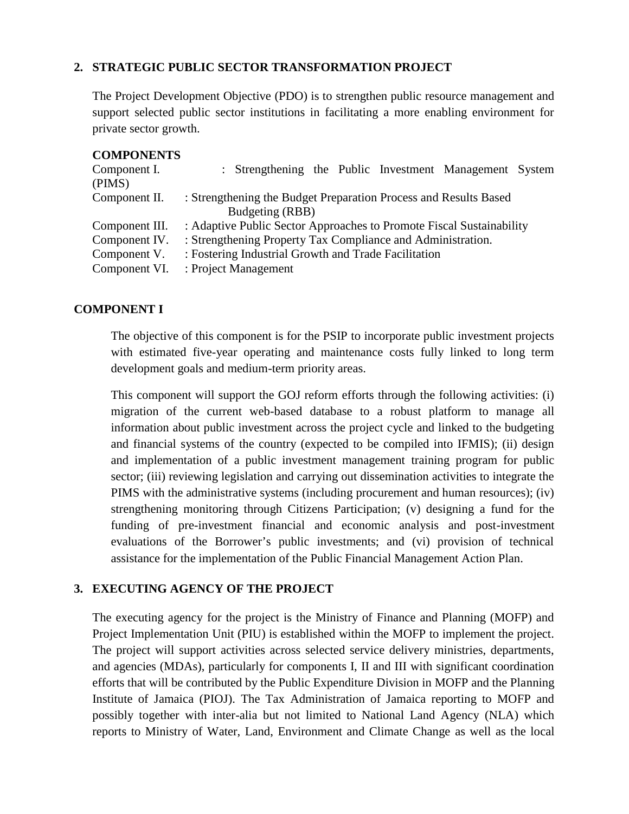#### **2. STRATEGIC PUBLIC SECTOR TRANSFORMATION PROJECT**

The Project Development Objective (PDO) is to strengthen public resource management and support selected public sector institutions in facilitating a more enabling environment for private sector growth.

#### **COMPONENTS**

| Component I.<br>(PIMS) | : Strengthening the Public Investment Management System                             |
|------------------------|-------------------------------------------------------------------------------------|
| Component II.          | : Strengthening the Budget Preparation Process and Results Based<br>Budgeting (RBB) |
| Component III.         | : Adaptive Public Sector Approaches to Promote Fiscal Sustainability                |
| Component IV.          | : Strengthening Property Tax Compliance and Administration.                         |
| Component V.           | : Fostering Industrial Growth and Trade Facilitation                                |
| Component VI.          | : Project Management                                                                |

#### **COMPONENT I**

The objective of this component is for the PSIP to incorporate public investment projects with estimated five-year operating and maintenance costs fully linked to long term development goals and medium-term priority areas.

This component will support the GOJ reform efforts through the following activities: (i) migration of the current web-based database to a robust platform to manage all information about public investment across the project cycle and linked to the budgeting and financial systems of the country (expected to be compiled into IFMIS); (ii) design and implementation of a public investment management training program for public sector; (iii) reviewing legislation and carrying out dissemination activities to integrate the PIMS with the administrative systems (including procurement and human resources); (iv) strengthening monitoring through Citizens Participation; (v) designing a fund for the funding of pre-investment financial and economic analysis and post-investment evaluations of the Borrower's public investments; and (vi) provision of technical assistance for the implementation of the Public Financial Management Action Plan.

#### **3. EXECUTING AGENCY OF THE PROJECT**

The executing agency for the project is the Ministry of Finance and Planning (MOFP) and Project Implementation Unit (PIU) is established within the MOFP to implement the project. The project will support activities across selected service delivery ministries, departments, and agencies (MDAs), particularly for components I, II and III with significant coordination efforts that will be contributed by the Public Expenditure Division in MOFP and the Planning Institute of Jamaica (PIOJ). The Tax Administration of Jamaica reporting to MOFP and possibly together with inter-alia but not limited to National Land Agency (NLA) which reports to Ministry of Water, Land, Environment and Climate Change as well as the local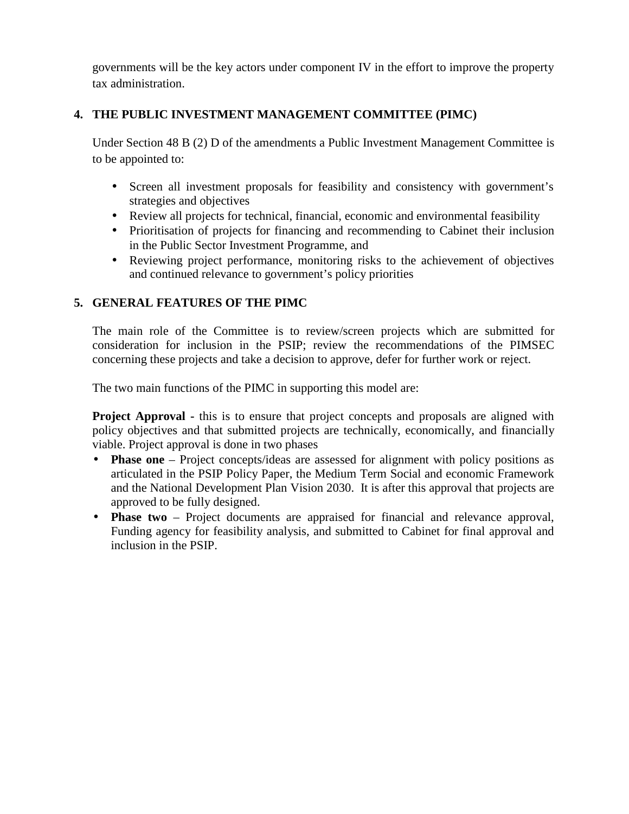governments will be the key actors under component IV in the effort to improve the property tax administration.

# **4. THE PUBLIC INVESTMENT MANAGEMENT COMMITTEE (PIMC)**

Under Section 48 B (2) D of the amendments a Public Investment Management Committee is to be appointed to:

- Screen all investment proposals for feasibility and consistency with government's strategies and objectives
- Review all projects for technical, financial, economic and environmental feasibility
- Prioritisation of projects for financing and recommending to Cabinet their inclusion in the Public Sector Investment Programme, and
- Reviewing project performance, monitoring risks to the achievement of objectives and continued relevance to government's policy priorities

# **5. GENERAL FEATURES OF THE PIMC**

The main role of the Committee is to review/screen projects which are submitted for consideration for inclusion in the PSIP; review the recommendations of the PIMSEC concerning these projects and take a decision to approve, defer for further work or reject.

The two main functions of the PIMC in supporting this model are:

**Project Approval -** this is to ensure that project concepts and proposals are aligned with policy objectives and that submitted projects are technically, economically, and financially viable. Project approval is done in two phases

- **Phase one** Project concepts/ideas are assessed for alignment with policy positions as articulated in the PSIP Policy Paper, the Medium Term Social and economic Framework and the National Development Plan Vision 2030. It is after this approval that projects are approved to be fully designed.
- **Phase two** Project documents are appraised for financial and relevance approval, Funding agency for feasibility analysis, and submitted to Cabinet for final approval and inclusion in the PSIP.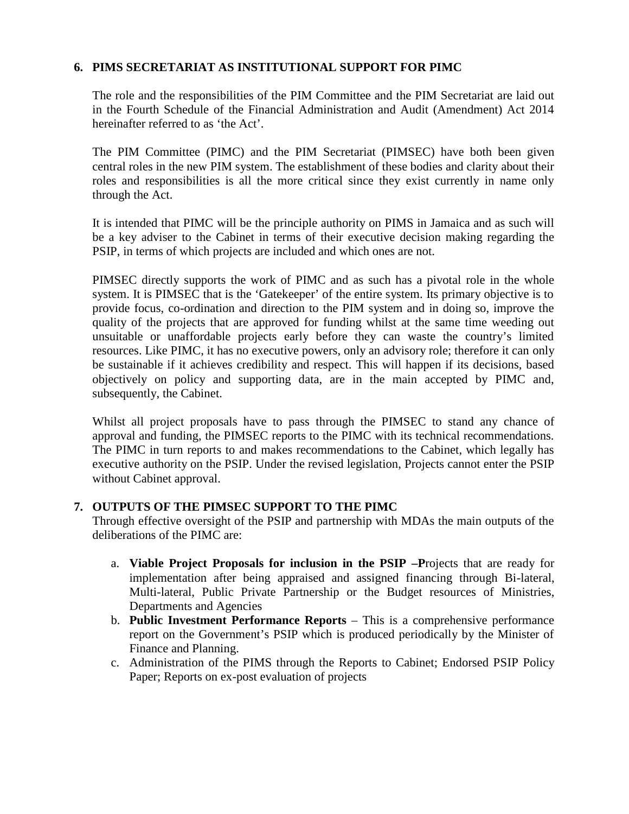#### **6. PIMS SECRETARIAT AS INSTITUTIONAL SUPPORT FOR PIMC**

The role and the responsibilities of the PIM Committee and the PIM Secretariat are laid out in the Fourth Schedule of the Financial Administration and Audit (Amendment) Act 2014 hereinafter referred to as 'the Act'.

The PIM Committee (PIMC) and the PIM Secretariat (PIMSEC) have both been given central roles in the new PIM system. The establishment of these bodies and clarity about their roles and responsibilities is all the more critical since they exist currently in name only through the Act.

It is intended that PIMC will be the principle authority on PIMS in Jamaica and as such will be a key adviser to the Cabinet in terms of their executive decision making regarding the PSIP, in terms of which projects are included and which ones are not.

PIMSEC directly supports the work of PIMC and as such has a pivotal role in the whole system. It is PIMSEC that is the 'Gatekeeper' of the entire system. Its primary objective is to provide focus, co-ordination and direction to the PIM system and in doing so, improve the quality of the projects that are approved for funding whilst at the same time weeding out unsuitable or unaffordable projects early before they can waste the country's limited resources. Like PIMC, it has no executive powers, only an advisory role; therefore it can only be sustainable if it achieves credibility and respect. This will happen if its decisions, based objectively on policy and supporting data, are in the main accepted by PIMC and, subsequently, the Cabinet.

Whilst all project proposals have to pass through the PIMSEC to stand any chance of approval and funding, the PIMSEC reports to the PIMC with its technical recommendations. The PIMC in turn reports to and makes recommendations to the Cabinet, which legally has executive authority on the PSIP. Under the revised legislation, Projects cannot enter the PSIP without Cabinet approval.

#### **7. OUTPUTS OF THE PIMSEC SUPPORT TO THE PIMC**

Through effective oversight of the PSIP and partnership with MDAs the main outputs of the deliberations of the PIMC are:

- a. **Viable Project Proposals for inclusion in the PSIP –P**rojects that are ready for implementation after being appraised and assigned financing through Bi-lateral, Multi-lateral, Public Private Partnership or the Budget resources of Ministries, Departments and Agencies
- b. **Public Investment Performance Reports** This is a comprehensive performance report on the Government's PSIP which is produced periodically by the Minister of Finance and Planning.
- c. Administration of the PIMS through the Reports to Cabinet; Endorsed PSIP Policy Paper; Reports on ex-post evaluation of projects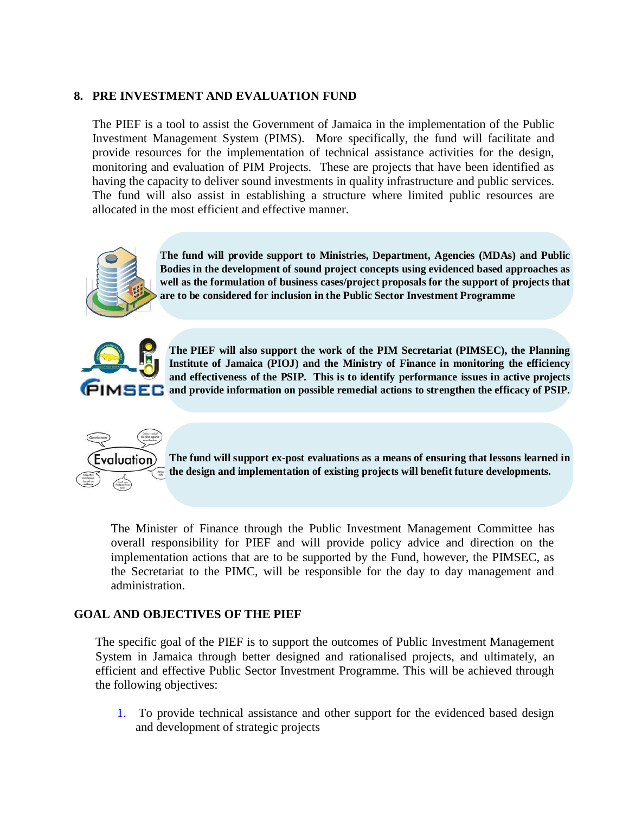#### **8. PRE INVESTMENT AND EVALUATION FUND**

The PIEF is a tool to assist the Government of Jamaica in the implementation of the Public Investment Management System (PIMS). More specifically, the fund will facilitate and provide resources for the implementation of technical assistance activities for the design, monitoring and evaluation of PIM Projects. These are projects that have been identified as having the capacity to deliver sound investments in quality infrastructure and public services. The fund will also assist in establishing a structure where limited public resources are allocated in the most efficient and effective manner.



**The fund will provide support to Ministries, Department, Agencies (MDAs) and Public Bodies in the development of sound project concepts using evidenced based approaches as well as the formulation of business cases/project proposals for the support of projects that are to be considered for inclusion in the Public Sector Investment Programme**



**The PIEF will also support the work of the PIM Secretariat (PIMSEC), the Planning Institute of Jamaica (PIOJ) and the Ministry of Finance in monitoring the efficiency and effectiveness of the PSIP. This is to identify performance issues in active projects PIMSEC** and provide information on possible remedial actions to strengthen the efficacy of PSIP.



**The fund will support ex-post evaluations as a means of ensuring that lessons learned in the design and implementation of existing projects will benefit future developments.**

The Minister of Finance through the Public Investment Management Committee has overall responsibility for PIEF and will provide policy advice and direction on the implementation actions that are to be supported by the Fund, however, the PIMSEC, as the Secretariat to the PIMC, will be responsible for the day to day management and administration.

#### **GOAL AND OBJECTIVES OF THE PIEF**

The specific goal of the PIEF is to support the outcomes of Public Investment Management System in Jamaica through better designed and rationalised projects, and ultimately, an efficient and effective Public Sector Investment Programme. This will be achieved through the following objectives:

1. To provide technical assistance and other support for the evidenced based design and development of strategic projects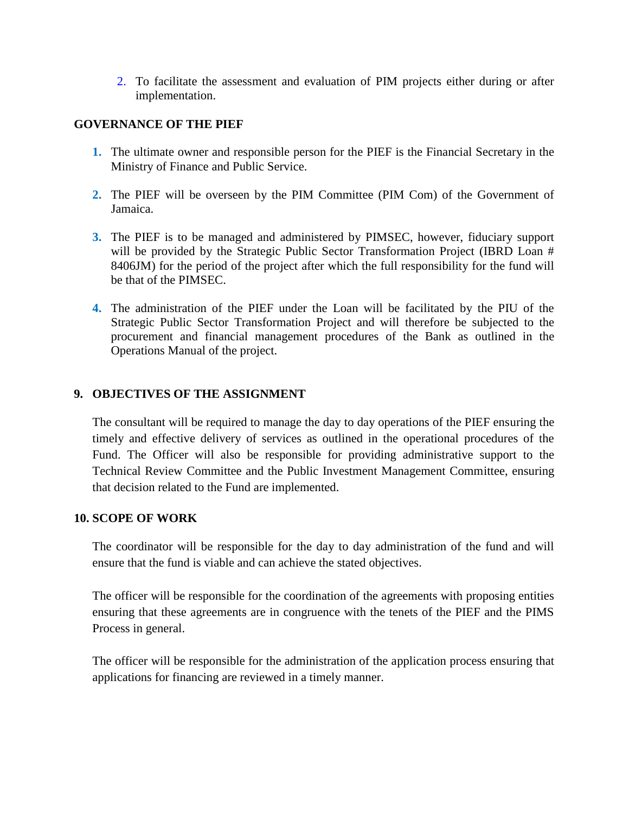2. To facilitate the assessment and evaluation of PIM projects either during or after implementation.

#### **GOVERNANCE OF THE PIEF**

- **1.** The ultimate owner and responsible person for the PIEF is the Financial Secretary in the Ministry of Finance and Public Service.
- **2.** The PIEF will be overseen by the PIM Committee (PIM Com) of the Government of Jamaica.
- **3.** The PIEF is to be managed and administered by PIMSEC, however, fiduciary support will be provided by the Strategic Public Sector Transformation Project (IBRD Loan # 8406JM) for the period of the project after which the full responsibility for the fund will be that of the PIMSEC.
- **4.** The administration of the PIEF under the Loan will be facilitated by the PIU of the Strategic Public Sector Transformation Project and will therefore be subjected to the procurement and financial management procedures of the Bank as outlined in the Operations Manual of the project.

#### **9. OBJECTIVES OF THE ASSIGNMENT**

The consultant will be required to manage the day to day operations of the PIEF ensuring the timely and effective delivery of services as outlined in the operational procedures of the Fund. The Officer will also be responsible for providing administrative support to the Technical Review Committee and the Public Investment Management Committee, ensuring that decision related to the Fund are implemented.

#### **10. SCOPE OF WORK**

The coordinator will be responsible for the day to day administration of the fund and will ensure that the fund is viable and can achieve the stated objectives.

The officer will be responsible for the coordination of the agreements with proposing entities ensuring that these agreements are in congruence with the tenets of the PIEF and the PIMS Process in general.

The officer will be responsible for the administration of the application process ensuring that applications for financing are reviewed in a timely manner.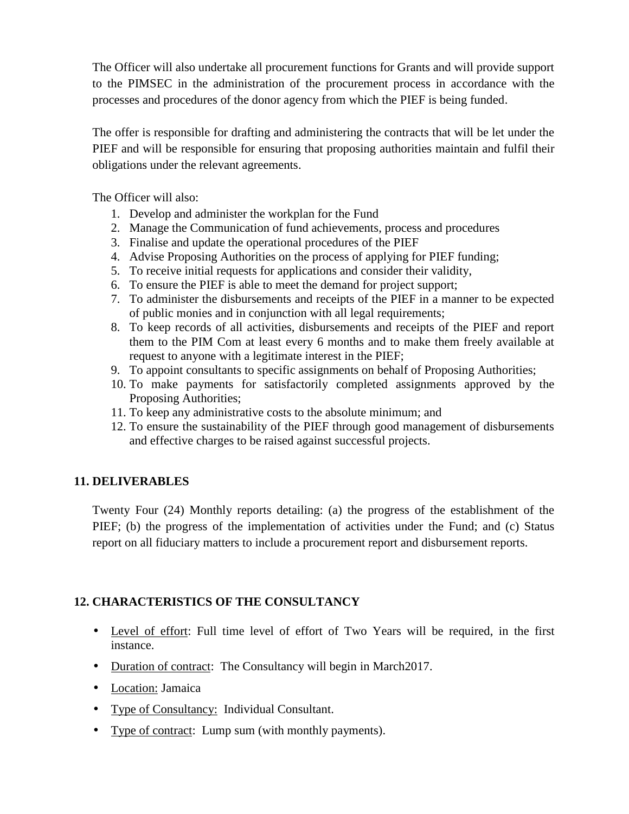The Officer will also undertake all procurement functions for Grants and will provide support to the PIMSEC in the administration of the procurement process in accordance with the processes and procedures of the donor agency from which the PIEF is being funded.

The offer is responsible for drafting and administering the contracts that will be let under the PIEF and will be responsible for ensuring that proposing authorities maintain and fulfil their obligations under the relevant agreements.

The Officer will also:

- 1. Develop and administer the workplan for the Fund
- 2. Manage the Communication of fund achievements, process and procedures
- 3. Finalise and update the operational procedures of the PIEF
- 4. Advise Proposing Authorities on the process of applying for PIEF funding;
- 5. To receive initial requests for applications and consider their validity,
- 6. To ensure the PIEF is able to meet the demand for project support;
- 7. To administer the disbursements and receipts of the PIEF in a manner to be expected of public monies and in conjunction with all legal requirements;
- 8. To keep records of all activities, disbursements and receipts of the PIEF and report them to the PIM Com at least every 6 months and to make them freely available at request to anyone with a legitimate interest in the PIEF;
- 9. To appoint consultants to specific assignments on behalf of Proposing Authorities;
- 10. To make payments for satisfactorily completed assignments approved by the Proposing Authorities;
- 11. To keep any administrative costs to the absolute minimum; and
- 12. To ensure the sustainability of the PIEF through good management of disbursements and effective charges to be raised against successful projects.

#### **11. DELIVERABLES**

Twenty Four (24) Monthly reports detailing: (a) the progress of the establishment of the PIEF; (b) the progress of the implementation of activities under the Fund; and (c) Status report on all fiduciary matters to include a procurement report and disbursement reports.

# **12. CHARACTERISTICS OF THE CONSULTANCY**

- Level of effort: Full time level of effort of Two Years will be required, in the first instance.
- Duration of contract: The Consultancy will begin in March2017.
- Location: Jamaica
- Type of Consultancy: Individual Consultant.
- Type of contract: Lump sum (with monthly payments).